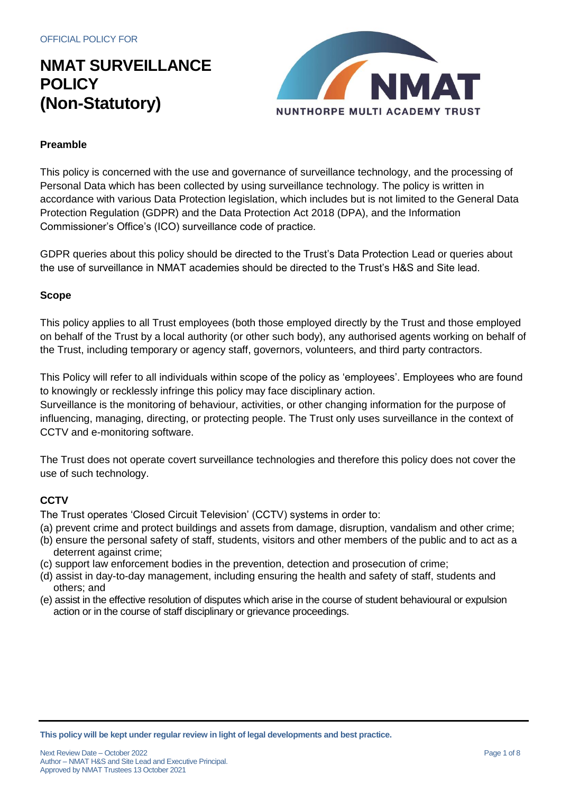

### **Preamble**

This policy is concerned with the use and governance of surveillance technology, and the processing of Personal Data which has been collected by using surveillance technology. The policy is written in accordance with various Data Protection legislation, which includes but is not limited to the General Data Protection Regulation (GDPR) and the Data Protection Act 2018 (DPA), and the Information Commissioner's Office's (ICO) surveillance code of practice.

GDPR queries about this policy should be directed to the Trust's Data Protection Lead or queries about the use of surveillance in NMAT academies should be directed to the Trust's H&S and Site lead.

#### **Scope**

This policy applies to all Trust employees (both those employed directly by the Trust and those employed on behalf of the Trust by a local authority (or other such body), any authorised agents working on behalf of the Trust, including temporary or agency staff, governors, volunteers, and third party contractors.

This Policy will refer to all individuals within scope of the policy as 'employees'. Employees who are found to knowingly or recklessly infringe this policy may face disciplinary action.

Surveillance is the monitoring of behaviour, activities, or other changing information for the purpose of influencing, managing, directing, or protecting people. The Trust only uses surveillance in the context of CCTV and e-monitoring software.

The Trust does not operate covert surveillance technologies and therefore this policy does not cover the use of such technology.

#### **CCTV**

The Trust operates 'Closed Circuit Television' (CCTV) systems in order to:

- (a) prevent crime and protect buildings and assets from damage, disruption, vandalism and other crime;
- (b) ensure the personal safety of staff, students, visitors and other members of the public and to act as a deterrent against crime;
- (c) support law enforcement bodies in the prevention, detection and prosecution of crime;
- (d) assist in day-to-day management, including ensuring the health and safety of staff, students and others; and
- (e) assist in the effective resolution of disputes which arise in the course of student behavioural or expulsion action or in the course of staff disciplinary or grievance proceedings.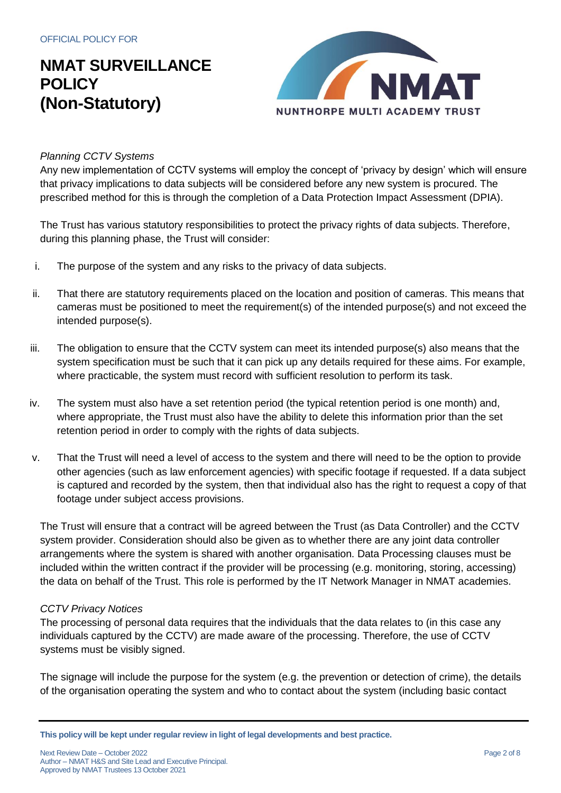

#### *Planning CCTV Systems*

Any new implementation of CCTV systems will employ the concept of 'privacy by design' which will ensure that privacy implications to data subjects will be considered before any new system is procured. The prescribed method for this is through the completion of a Data Protection Impact Assessment (DPIA).

The Trust has various statutory responsibilities to protect the privacy rights of data subjects. Therefore, during this planning phase, the Trust will consider:

- i. The purpose of the system and any risks to the privacy of data subjects.
- ii. That there are statutory requirements placed on the location and position of cameras. This means that cameras must be positioned to meet the requirement(s) of the intended purpose(s) and not exceed the intended purpose(s).
- iii. The obligation to ensure that the CCTV system can meet its intended purpose(s) also means that the system specification must be such that it can pick up any details required for these aims. For example, where practicable, the system must record with sufficient resolution to perform its task.
- iv. The system must also have a set retention period (the typical retention period is one month) and, where appropriate, the Trust must also have the ability to delete this information prior than the set retention period in order to comply with the rights of data subjects.
- v. That the Trust will need a level of access to the system and there will need to be the option to provide other agencies (such as law enforcement agencies) with specific footage if requested. If a data subject is captured and recorded by the system, then that individual also has the right to request a copy of that footage under subject access provisions.

The Trust will ensure that a contract will be agreed between the Trust (as Data Controller) and the CCTV system provider. Consideration should also be given as to whether there are any joint data controller arrangements where the system is shared with another organisation. Data Processing clauses must be included within the written contract if the provider will be processing (e.g. monitoring, storing, accessing) the data on behalf of the Trust. This role is performed by the IT Network Manager in NMAT academies.

#### *CCTV Privacy Notices*

The processing of personal data requires that the individuals that the data relates to (in this case any individuals captured by the CCTV) are made aware of the processing. Therefore, the use of CCTV systems must be visibly signed.

The signage will include the purpose for the system (e.g. the prevention or detection of crime), the details of the organisation operating the system and who to contact about the system (including basic contact

Next Review Date – October 2022 **Page 2 of 8** Author – NMAT H&S and Site Lead and Executive Principal. Approved by NMAT Trustees 13 October 2021

**This policy will be kept under regular review in light of legal developments and best practice.**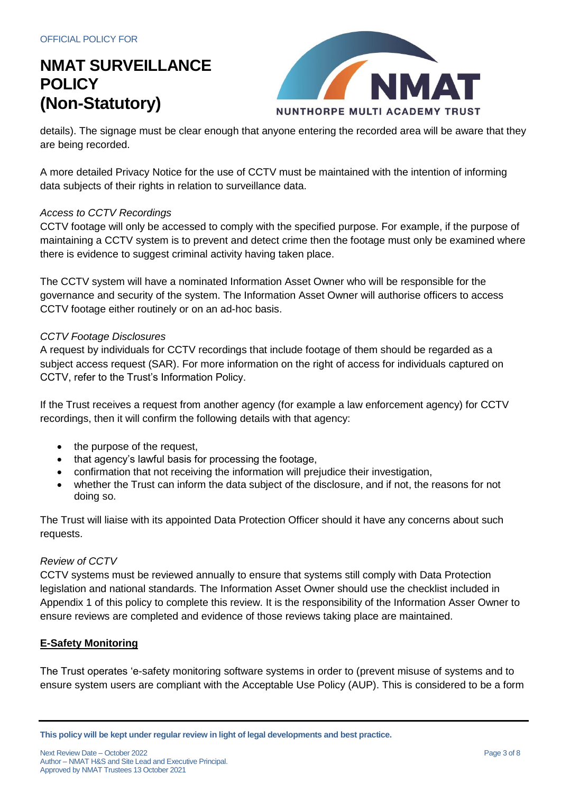

details). The signage must be clear enough that anyone entering the recorded area will be aware that they are being recorded.

A more detailed Privacy Notice for the use of CCTV must be maintained with the intention of informing data subjects of their rights in relation to surveillance data.

### *Access to CCTV Recordings*

CCTV footage will only be accessed to comply with the specified purpose. For example, if the purpose of maintaining a CCTV system is to prevent and detect crime then the footage must only be examined where there is evidence to suggest criminal activity having taken place.

The CCTV system will have a nominated Information Asset Owner who will be responsible for the governance and security of the system. The Information Asset Owner will authorise officers to access CCTV footage either routinely or on an ad-hoc basis.

#### *CCTV Footage Disclosures*

A request by individuals for CCTV recordings that include footage of them should be regarded as a subject access request (SAR). For more information on the right of access for individuals captured on CCTV, refer to the Trust's Information Policy.

If the Trust receives a request from another agency (for example a law enforcement agency) for CCTV recordings, then it will confirm the following details with that agency:

- the purpose of the request,
- that agency's lawful basis for processing the footage,
- confirmation that not receiving the information will prejudice their investigation,
- whether the Trust can inform the data subject of the disclosure, and if not, the reasons for not doing so.

The Trust will liaise with its appointed Data Protection Officer should it have any concerns about such requests.

#### *Review of CCTV*

CCTV systems must be reviewed annually to ensure that systems still comply with Data Protection legislation and national standards. The Information Asset Owner should use the checklist included in Appendix 1 of this policy to complete this review. It is the responsibility of the Information Asser Owner to ensure reviews are completed and evidence of those reviews taking place are maintained.

### **E-Safety Monitoring**

The Trust operates 'e-safety monitoring software systems in order to (prevent misuse of systems and to ensure system users are compliant with the Acceptable Use Policy (AUP). This is considered to be a form

**This policy will be kept under regular review in light of legal developments and best practice.**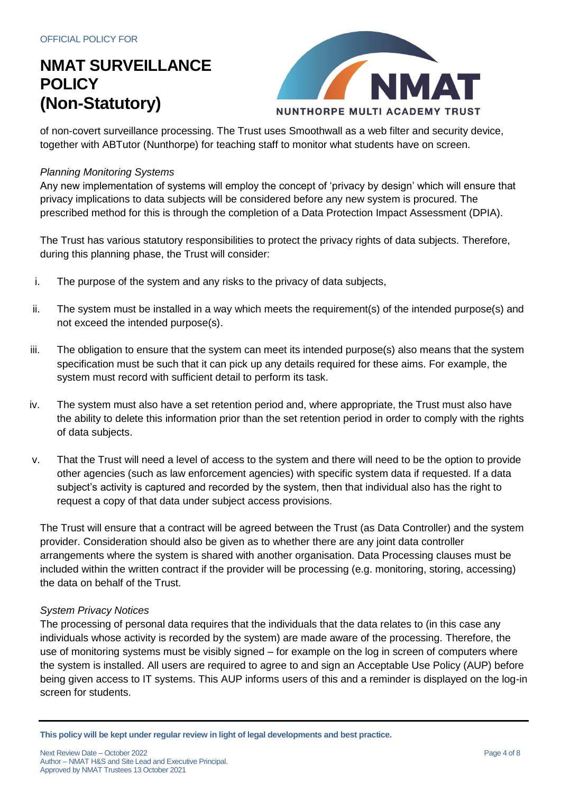

of non-covert surveillance processing. The Trust uses Smoothwall as a web filter and security device, together with ABTutor (Nunthorpe) for teaching staff to monitor what students have on screen.

#### *Planning Monitoring Systems*

Any new implementation of systems will employ the concept of 'privacy by design' which will ensure that privacy implications to data subjects will be considered before any new system is procured. The prescribed method for this is through the completion of a Data Protection Impact Assessment (DPIA).

The Trust has various statutory responsibilities to protect the privacy rights of data subjects. Therefore, during this planning phase, the Trust will consider:

- i. The purpose of the system and any risks to the privacy of data subjects,
- ii. The system must be installed in a way which meets the requirement(s) of the intended purpose(s) and not exceed the intended purpose(s).
- iii. The obligation to ensure that the system can meet its intended purpose(s) also means that the system specification must be such that it can pick up any details required for these aims. For example, the system must record with sufficient detail to perform its task.
- iv. The system must also have a set retention period and, where appropriate, the Trust must also have the ability to delete this information prior than the set retention period in order to comply with the rights of data subjects.
- v. That the Trust will need a level of access to the system and there will need to be the option to provide other agencies (such as law enforcement agencies) with specific system data if requested. If a data subject's activity is captured and recorded by the system, then that individual also has the right to request a copy of that data under subject access provisions.

The Trust will ensure that a contract will be agreed between the Trust (as Data Controller) and the system provider. Consideration should also be given as to whether there are any joint data controller arrangements where the system is shared with another organisation. Data Processing clauses must be included within the written contract if the provider will be processing (e.g. monitoring, storing, accessing) the data on behalf of the Trust.

#### *System Privacy Notices*

The processing of personal data requires that the individuals that the data relates to (in this case any individuals whose activity is recorded by the system) are made aware of the processing. Therefore, the use of monitoring systems must be visibly signed – for example on the log in screen of computers where the system is installed. All users are required to agree to and sign an Acceptable Use Policy (AUP) before being given access to IT systems. This AUP informs users of this and a reminder is displayed on the log-in screen for students.

**This policy will be kept under regular review in light of legal developments and best practice.**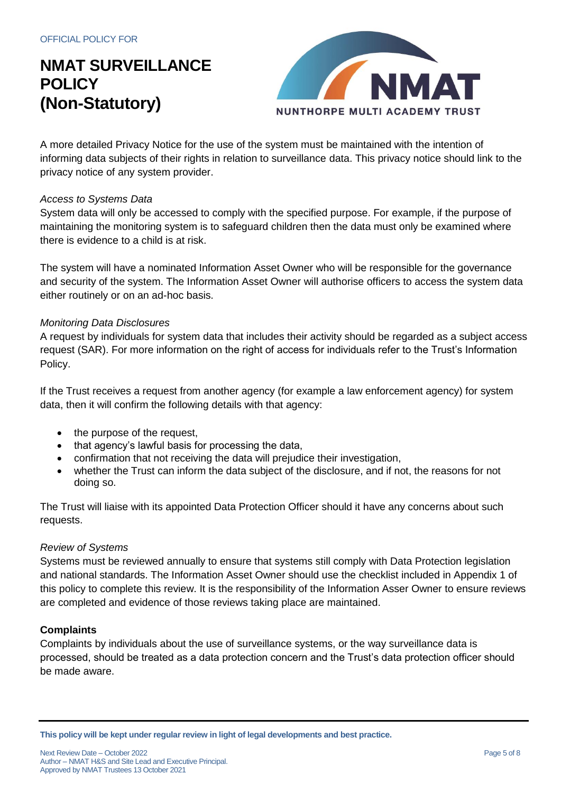

A more detailed Privacy Notice for the use of the system must be maintained with the intention of informing data subjects of their rights in relation to surveillance data. This privacy notice should link to the privacy notice of any system provider.

#### *Access to Systems Data*

System data will only be accessed to comply with the specified purpose. For example, if the purpose of maintaining the monitoring system is to safeguard children then the data must only be examined where there is evidence to a child is at risk.

The system will have a nominated Information Asset Owner who will be responsible for the governance and security of the system. The Information Asset Owner will authorise officers to access the system data either routinely or on an ad-hoc basis.

#### *Monitoring Data Disclosures*

A request by individuals for system data that includes their activity should be regarded as a subject access request (SAR). For more information on the right of access for individuals refer to the Trust's Information Policy.

If the Trust receives a request from another agency (for example a law enforcement agency) for system data, then it will confirm the following details with that agency:

- the purpose of the request,
- that agency's lawful basis for processing the data,
- confirmation that not receiving the data will prejudice their investigation,
- whether the Trust can inform the data subject of the disclosure, and if not, the reasons for not doing so.

The Trust will liaise with its appointed Data Protection Officer should it have any concerns about such requests.

#### *Review of Systems*

Systems must be reviewed annually to ensure that systems still comply with Data Protection legislation and national standards. The Information Asset Owner should use the checklist included in Appendix 1 of this policy to complete this review. It is the responsibility of the Information Asser Owner to ensure reviews are completed and evidence of those reviews taking place are maintained.

#### **Complaints**

Complaints by individuals about the use of surveillance systems, or the way surveillance data is processed, should be treated as a data protection concern and the Trust's data protection officer should be made aware.

**This policy will be kept under regular review in light of legal developments and best practice.**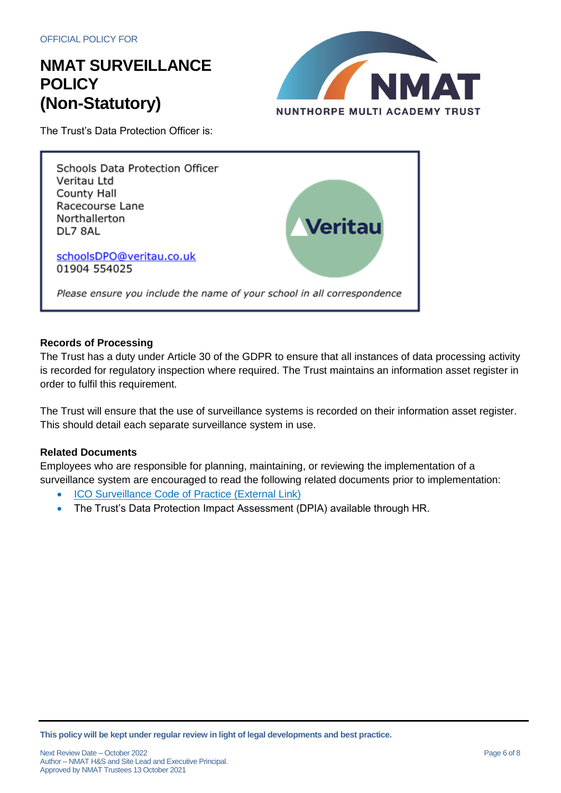

The Trust's Data Protection Officer is:



#### **Records of Processing**

The Trust has a duty under Article 30 of the GDPR to ensure that all instances of data processing activity is recorded for regulatory inspection where required. The Trust maintains an information asset register in order to fulfil this requirement.

The Trust will ensure that the use of surveillance systems is recorded on their information asset register. This should detail each separate surveillance system in use.

### **Related Documents**

Employees who are responsible for planning, maintaining, or reviewing the implementation of a surveillance system are encouraged to read the following related documents prior to implementation:

- [ICO Surveillance Code of Practice \(External Link\)](https://www.google.com/url?sa=t&rct=j&q=&esrc=s&source=web&cd=11&cad=rja&uact=8&ved=2ahUKEwiek5qunOvgAhVTtXEKHdfsC68QFjAKegQICRAC&url=https%3A%2F%2Fico.org.uk%2Fmedia%2F1542%2Fcctv-code-of-practice.pdf&usg=AOvVaw2D6BDz75aZ_wQQuCrrCGpI)
- The Trust's Data Protection Impact Assessment (DPIA) available through HR.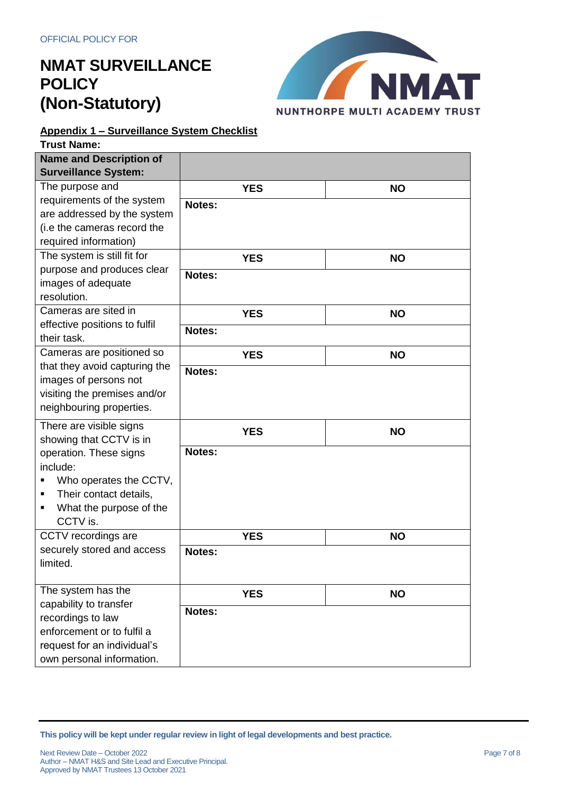

### **Appendix 1 – Surveillance System Checklist**

| <b>Trust Name:</b>             |            |           |
|--------------------------------|------------|-----------|
| <b>Name and Description of</b> |            |           |
| <b>Surveillance System:</b>    |            |           |
| The purpose and                | <b>YES</b> | <b>NO</b> |
| requirements of the system     | Notes:     |           |
| are addressed by the system    |            |           |
| (i.e the cameras record the    |            |           |
| required information)          |            |           |
| The system is still fit for    | <b>YES</b> | <b>NO</b> |
| purpose and produces clear     | Notes:     |           |
| images of adequate             |            |           |
| resolution.                    |            |           |
| Cameras are sited in           | <b>YES</b> | <b>NO</b> |
| effective positions to fulfil  | Notes:     |           |
| their task.                    |            |           |
| Cameras are positioned so      | <b>YES</b> | <b>NO</b> |
| that they avoid capturing the  | Notes:     |           |
| images of persons not          |            |           |
| visiting the premises and/or   |            |           |
| neighbouring properties.       |            |           |
| There are visible signs        | <b>YES</b> | <b>NO</b> |
| showing that CCTV is in        |            |           |
| operation. These signs         | Notes:     |           |
| include:                       |            |           |
| Who operates the CCTV,         |            |           |
| Their contact details,<br>٠    |            |           |
| What the purpose of the<br>П   |            |           |
| CCTV is.                       |            |           |
| CCTV recordings are            | <b>YES</b> | <b>NO</b> |
| securely stored and access     | Notes:     |           |
| limited.                       |            |           |
|                                |            |           |
| The system has the             | <b>YES</b> | <b>NO</b> |
| capability to transfer         | Notes:     |           |
| recordings to law              |            |           |
| enforcement or to fulfil a     |            |           |
| request for an individual's    |            |           |
| own personal information.      |            |           |